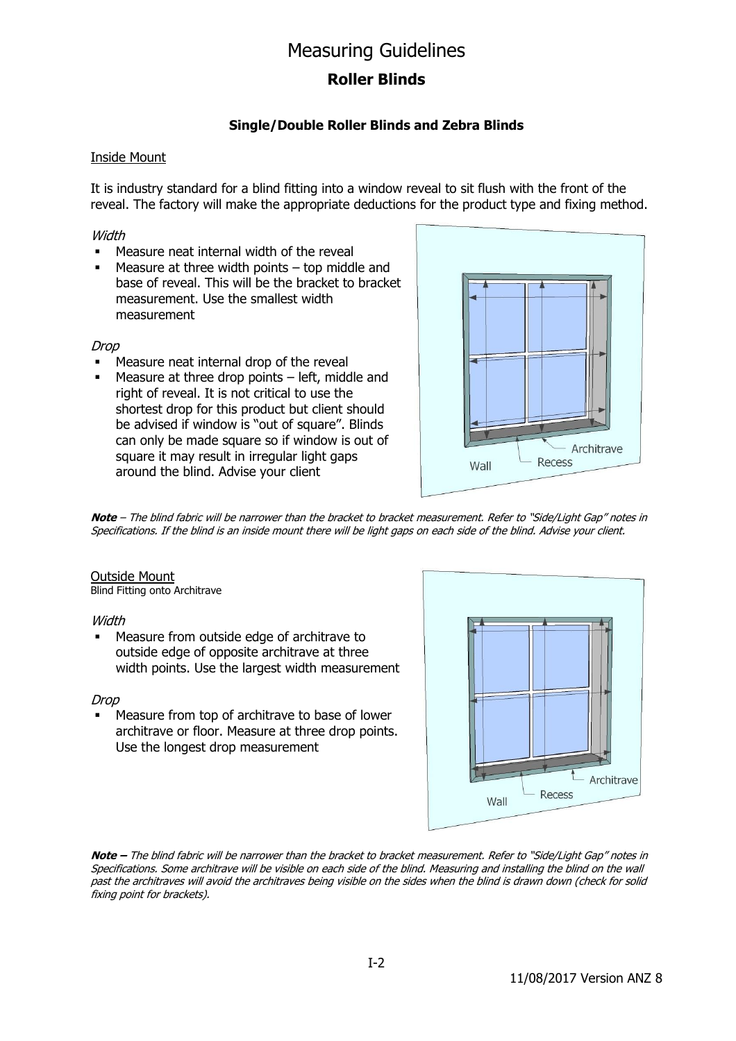## Measuring Guidelines

## **Roller Blinds**

## **Single/Double Roller Blinds and Zebra Blinds**

#### Inside Mount

It is industry standard for a blind fitting into a window reveal to sit flush with the front of the reveal. The factory will make the appropriate deductions for the product type and fixing method.

#### **Width**

- Measure neat internal width of the reveal
- $\blacksquare$  Measure at three width points top middle and base of reveal. This will be the bracket to bracket measurement. Use the smallest width measurement

#### Drop

- Measure neat internal drop of the reveal
- $\blacksquare$  Measure at three drop points left, middle and right of reveal. It is not critical to use the shortest drop for this product but client should be advised if window is "out of square". Blinds can only be made square so if window is out of square it may result in irregular light gaps around the blind. Advise your client



**Note** – The blind fabric will be narrower than the bracket to bracket measurement. Refer to "Side/Light Gap" notes in Specifications. If the blind is an inside mount there will be light gaps on each side of the blind. Advise your client.

#### Outside Mount

Blind Fitting onto Architrave

#### **Width**

 Measure from outside edge of architrave to outside edge of opposite architrave at three width points. Use the largest width measurement

#### Drop

 Measure from top of architrave to base of lower architrave or floor. Measure at three drop points. Use the longest drop measurement



**Note –** The blind fabric will be narrower than the bracket to bracket measurement. Refer to "Side/Light Gap" notes in Specifications. Some architrave will be visible on each side of the blind. Measuring and installing the blind on the wall past the architraves will avoid the architraves being visible on the sides when the blind is drawn down (check for solid fixing point for brackets).